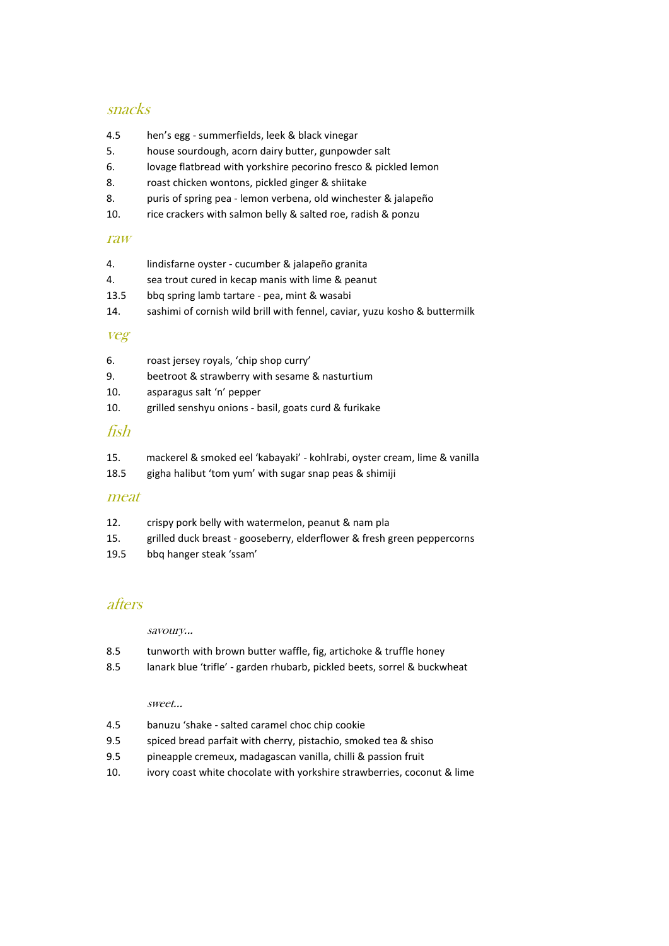## snacks

- 4.5 hen's egg summerfields, leek & black vinegar
- 5. house sourdough, acorn dairy butter, gunpowder salt
- 6. lovage flatbread with yorkshire pecorino fresco & pickled lemon
- 8. roast chicken wontons, pickled ginger & shiitake
- 8. puris of spring pea lemon verbena, old winchester & jalapeño
- 10. rice crackers with salmon belly & salted roe, radish & ponzu

### raw

- 4. lindisfarne oyster cucumber & jalapeño granita 4. sea trout cured in kecap manis with lime & peanut 13.5 bbq spring lamb tartare - pea, mint & wasabi
- 14. sashimi of cornish wild brill with fennel, caviar, yuzu kosho & buttermilk

### veg

- 6. roast jersey royals, 'chip shop curry'
- 9. beetroot & strawberry with sesame & nasturtium
- 10. asparagus salt 'n' pepper
- 10. grilled senshyu onions basil, goats curd & furikake

### fish

- 15. mackerel & smoked eel 'kabayaki' kohlrabi, oyster cream, lime & vanilla
- 18.5 gigha halibut 'tom yum' with sugar snap peas & shimiji

### meat

- 12. crispy pork belly with watermelon, peanut & nam pla
- 15. grilled duck breast gooseberry, elderflower & fresh green peppercorns
- 19.5 bbq hanger steak 'ssam'

## afters

savoury...

- 8.5 tunworth with brown butter waffle, fig, artichoke & truffle honey
- 8.5 lanark blue 'trifle' garden rhubarb, pickled beets, sorrel & buckwheat

### sweet…

- 4.5 banuzu 'shake salted caramel choc chip cookie
- 9.5 spiced bread parfait with cherry, pistachio, smoked tea & shiso
- 9.5 pineapple cremeux, madagascan vanilla, chilli & passion fruit
- 10. ivory coast white chocolate with yorkshire strawberries, coconut & lime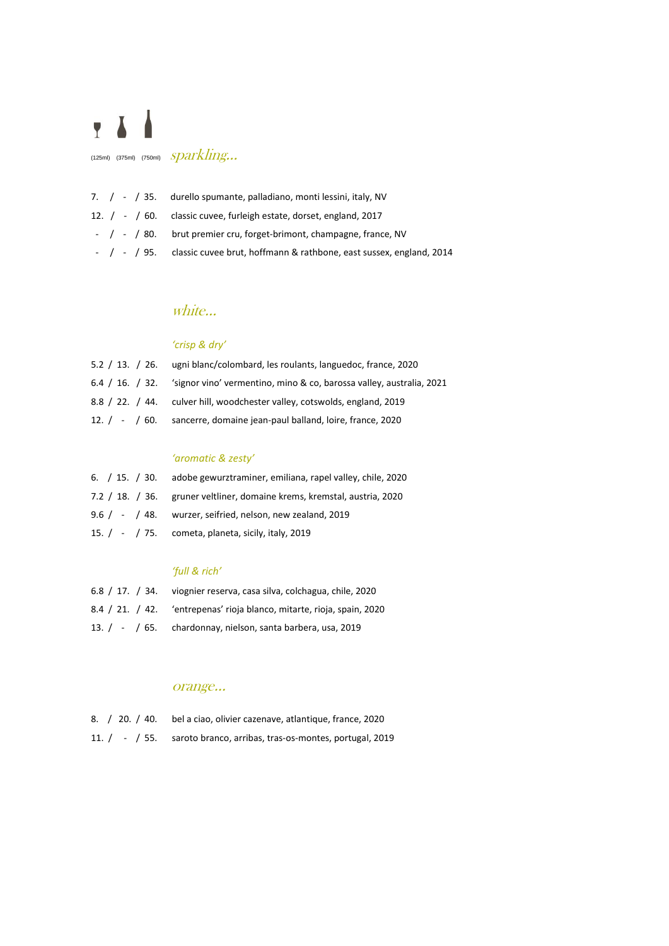

(125ml) (375ml) (750ml)  $sparkling...$ 

|  |  | 7. / - / 35. durello spumante, palladiano, monti lessini, italy, NV             |
|--|--|---------------------------------------------------------------------------------|
|  |  | 12. / - / 60. classic cuvee, furleigh estate, dorset, england, 2017             |
|  |  | $\frac{1}{2}$ / - / 80. brut premier cru, forget-brimont, champagne, france, NV |
|  |  | - / - / 95. classic cuvee brut, hoffmann & rathbone, east sussex, england, 2014 |

## white…

## *'crisp & dry'*

| 5.2 / 13. / 26. ugni blanc/colombard, les roulants, languedoc, france, 2020          |
|--------------------------------------------------------------------------------------|
| 6.4 / 16. / 32. 'signor vino' vermentino, mino & co, barossa valley, australia, 2021 |
| 8.8 / 22. / 44. culver hill, woodchester valley, cotswolds, england, 2019            |
| 12. / - / 60. sancerre, domaine jean-paul balland, loire, france, 2020               |

### *'aromatic & zesty'*

| 6. / 15. / 30. adobe gewurztraminer, emiliana, rapel valley, chile, 2020 |
|--------------------------------------------------------------------------|
| 7.2 / 18. / 36. gruner veltliner, domaine krems, kremstal, austria, 2020 |
| 9.6 $/$ - $/$ 48. wurzer, seifried, nelson, new zealand, 2019            |
| 15. $/$ - $/$ 75. cometa, planeta, sicily, italy, 2019                   |

### *'full & rich'*

| 6.8 / 17. / 34. viognier reserva, casa silva, colchagua, chile, 2020   |
|------------------------------------------------------------------------|
| 8.4 / 21. / 42. 'entrepenas' rioja blanco, mitarte, rioja, spain, 2020 |
| 13. / - / 65. chardonnay, nielson, santa barbera, usa, 2019            |

## orange…

| 8. / 20. / 40. bel a ciao, olivier cazenave, atlantique, france, 2020 |
|-----------------------------------------------------------------------|
| 11. / - / 55. saroto branco, arribas, tras-os-montes, portugal, 2019  |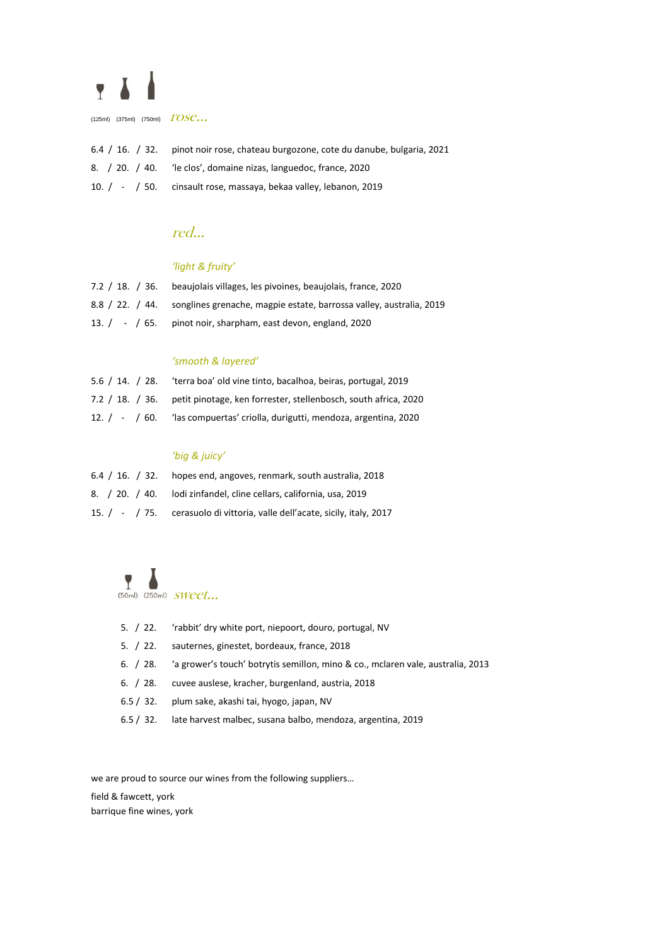# $\overline{Y}$

(125ml) (375ml) (750ml)  $TOSC...$ 

| 6.4 / 16. / 32. pinot noir rose, chateau burgozone, cote du danube, bulgaria, 2021 |
|------------------------------------------------------------------------------------|
| 8. / 20. / 40. 'le clos', domaine nizas, languedoc, france, 2020                   |
| 10. / - / 50. cinsault rose, massaya, bekaa valley, lebanon, 2019                  |

## red…

## *'light & fruity'*

| 7.2 / 18. / 36. beaujolais villages, les pivoines, beaujolais, france, 2020         |
|-------------------------------------------------------------------------------------|
| 8.8 / 22. / 44. songlines grenache, magpie estate, barrossa valley, australia, 2019 |
| 13. $/$ - $/$ 65. pinot noir, sharpham, east devon, england, 2020                   |

### *'smooth & layered'*

| 5.6 / 14. / 28. | 'terra boa' old vine tinto, bacalhoa, beiras, portugal, 2019                    |
|-----------------|---------------------------------------------------------------------------------|
|                 | 7.2 / 18. / 36. petit pinotage, ken forrester, stellenbosch, south africa, 2020 |
|                 | 12. / - / 60. The scompuertas' criolla, durigutti, mendoza, argentina, 2020     |

### *'big & juicy'*

| 6.4 / 16. / 32. hopes end, angoves, renmark, south australia, 2018         |
|----------------------------------------------------------------------------|
| 8. / 20. / 40. lodi zinfandel, cline cellars, california, usa, 2019        |
| 15. / - / 75. cerasuolo di vittoria, valle dell'acate, sicily, italy, 2017 |

 $\sum_{(50\text{m}1)}$  (250ml)  $SWect...$ 

| 5. / 22. | 'rabbit' dry white port, niepoort, douro, portugal, NV                          |
|----------|---------------------------------------------------------------------------------|
| 5. / 22. | sauternes, ginestet, bordeaux, france, 2018                                     |
| 6. / 28. | 'a grower's touch' botrytis semillon, mino & co., mclaren vale, australia, 2013 |
| 6. / 28. | cuvee auslese, kracher, burgenland, austria, 2018                               |
| 6.5/32.  | plum sake, akashi tai, hyogo, japan, NV                                         |
|          | 6.5 / 32. late harvest malbec, susana balbo, mendoza, argentina, 2019           |

we are proud to source our wines from the following suppliers…

field & fawcett, york

barrique fine wines, york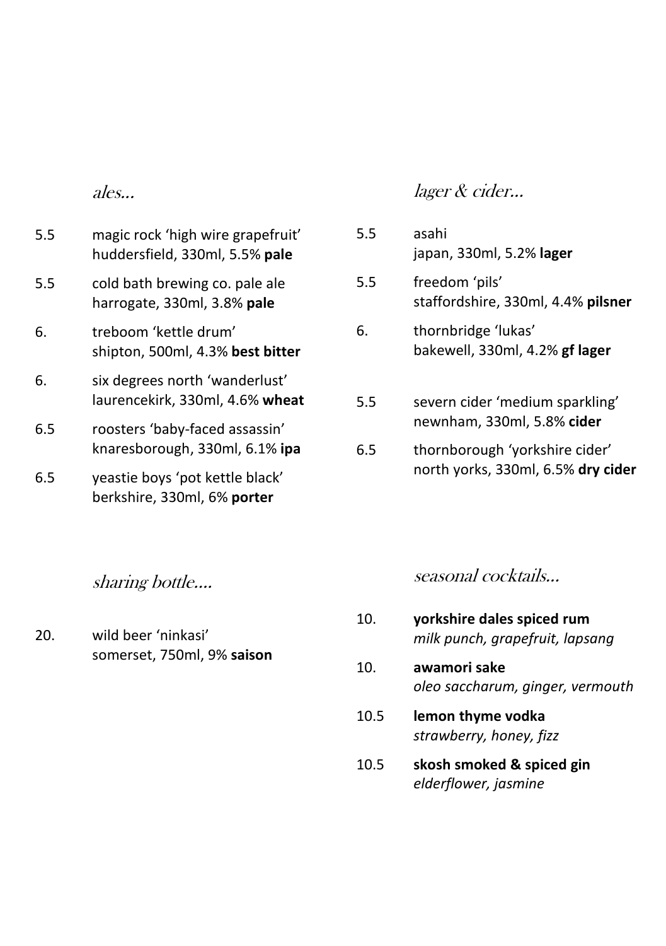ales...

- 5.5 magic rock 'high wire grapefruit' huddersfield, 330ml, 5.5% **pale**
- 5.5 cold bath brewing co. pale ale harrogate, 330ml, 3.8% **pale**
- 6. treboom 'kettle drum' shipton, 500ml, 4.3% **best bitter**
- 6. six degrees north 'wanderlust' laurencekirk, 330ml, 4.6% **wheat**
- 6.5 roosters 'baby-faced assassin' knaresborough, 330ml, 6.1% **ipa**
- 6.5 yeastie boys 'pot kettle black' berkshire, 330ml, 6% **porter**

sharing bottle….

20. wild beer 'ninkasi' somerset, 750ml, 9% **saison**

### lager & cider...

5.5 asahi japan, 330ml, 5.2% **lager** 5.5 freedom 'pils' staffordshire, 330ml, 4.4% **pilsner** 6. thornbridge 'lukas' bakewell, 330ml, 4.2% **gf lager** 5.5 severn cider 'medium sparkling' newnham, 330ml, 5.8% **cider** 6.5 thornborough 'yorkshire cider'

seasonal cocktails...

north yorks, 330ml, 6.5% **dry cider**

- 10. **yorkshire dales spiced rum** *milk punch, grapefruit, lapsang*
- 10. **awamori sake** *oleo saccharum, ginger, vermouth*
- 10.5 **lemon thyme vodka** *strawberry, honey, fizz*
- 10.5 **skosh smoked & spiced gin** *elderflower, jasmine*